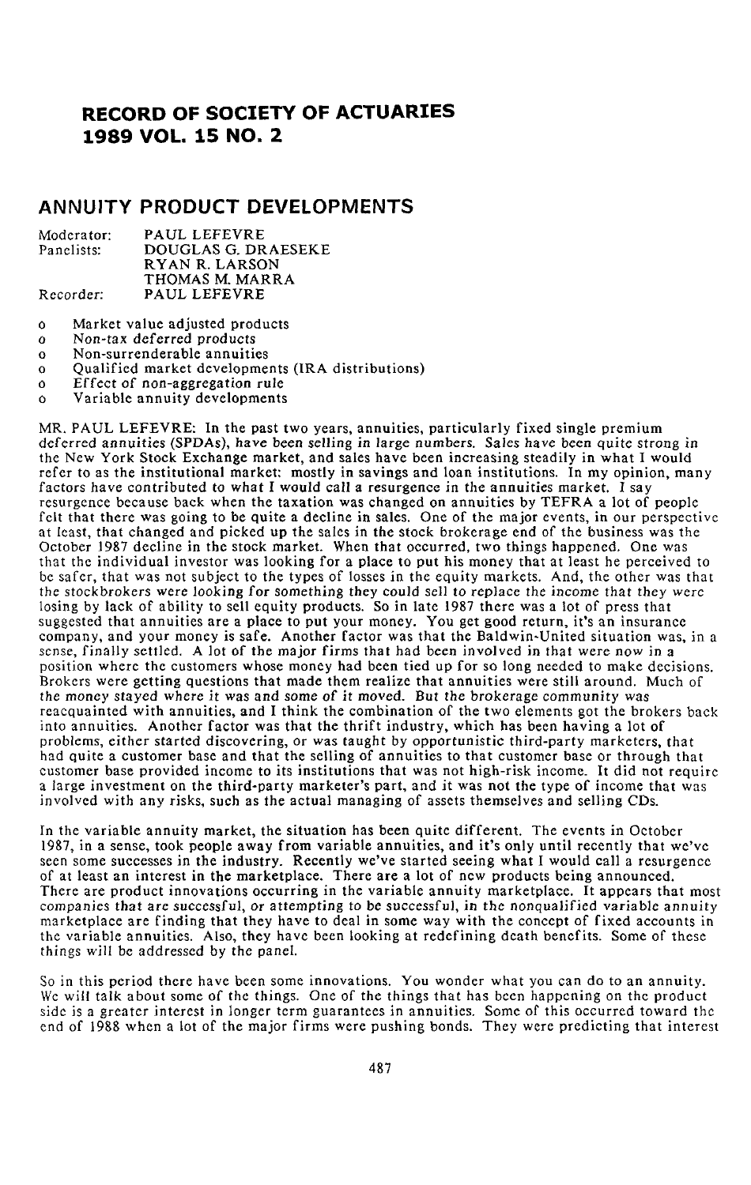# R**ECORD OF SO**C**IETY OF ACTUARIES 1989 VOL**. **15 NO**. **2**

## **A**NN**UITY PRODUCT DEVE**L**OPMENTS**

| Moderator: | PAUL LEFEVRE        |
|------------|---------------------|
| Panelists: | DOUGLAS G. DRAESEKE |
|            | RYAN R. LARSON      |
|            | THOMAS M. MARRA     |
| Recorder:  | PAUL LEFEVRE        |

- o Market value adjusted products
- o *No*n-tax deferred products
- o Non-surrenderable annuities
- o Qualified market developments (I**R**A distributions)
- o Effect of non-aggregati*o*n rule
- Variable annuity developments

MR. PAUL LEFEVRE: In the past two years, annuities, particularly fixed single premium deferred annui*t*ies (SP*D*As), have b**e**en selling in large numbers. Sales have been quite strong in the New York Stock Exchange market, and sales have been increasing steadily in what I would refer to as the institutional market: mostly in savings and loan institutions. In my opinion, many factors have contribu*t*ed to what I would call a resurgence in the annuities market. I say resurgence because back when the taxation was changed on annuities by TEFRA a lot of people felt that there was going to be quite a decline in sales. One of the major events, in our perspective at least, that changed and picked up the sales in the stock brokerage end of the business was the October 1987 decline in the stock market. When that occurred, two things happened. One was that the individual investor was looking for a place to put his money that at least he perceived to be safer, that was not subject to the types of losses in the equity markets. And, the other was that the stockbrokers were looking for something they could sell to replace the income that they were losing by lack of ability to sell equity products. So in late 1987 there was a lot of press that suggested that annuities are a place to put your money. You get g**o**od return, it's an insurance company, and your money is safe. Another factor was that the Baldwin-United situation was, in a sense, finally settled. A lot of the major firms that had been involved in that were now in a position where the customers whose money had been tied up for so long needed to make decisions. Brokers were getting questions that made them realize that annuities were still around. Much of the money stayed where it was and some *o*f it m*o*ved. *B*ut the brokerage c*o*mmunity was reacquainted with annuities, and I think the combination of the two elements got the brokers back into annuities. Another factor was that the thrift industry, which has been having a lot of problems, either started discovering, or was *t*aught by opportunistic third-party marketers, that had quite a customer base and that the selling of annuities to that customer base or through that customer base provided income to its institutions that was not high-risk income. It did not require a large investment on the third-party marketer's part, and it was not the type of income that was involved with any risks, such as the actual managing of assets themselves and selling CDs.

In the variable annuity market, the situation has been quite different. The events in October 1987, in a sense, took people away from variable annuities, and it's only until recently that we've seen some successes in the industry. Recently we've started seeing what I would call a resurgence of at least an interest in the marketplace. There are a lot of new products being announced. There are product innovations occurring in the variable annuity marketplace. It appears that most compa**n**ies that a**r**e successf*u*l**,** *o*r at**t**e**m**p*t*i*n*g *t***o** be s*u*c*c*essful**,** in the nonqualified variable annuity marketplace are finding that they have to deal in some way with the concept of fixed accounts in the variable annuities. Also, they have been looking at redefining death benefits. Some of these *t*hings will be addressed by the *p*anel.

So in this period there have been some innovations. You wonder what you can do to an annuity. We will talk about some of the things. One of the things that has been happening on the product side is a greater interest in longer term guarantees in annuities. Some of this occurred toward the end of 1988 when a lot of the major firms were pushing bonds. They were predicting that intere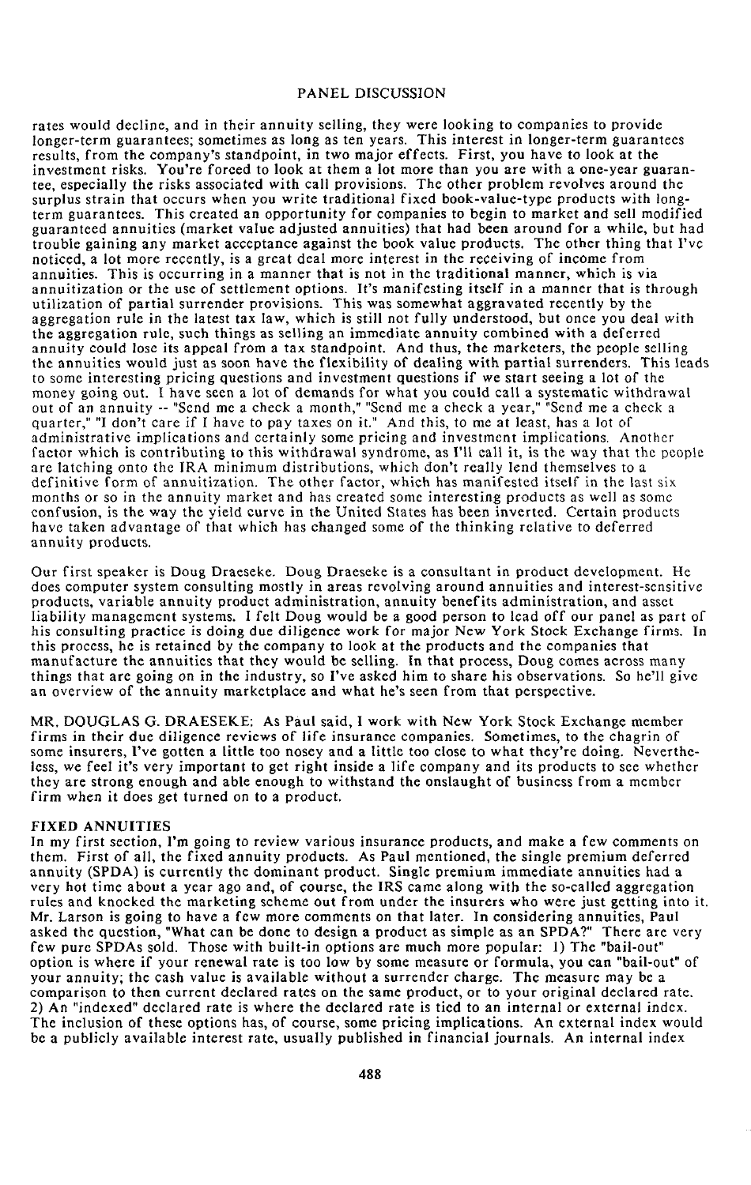rates would decline, and in their annuity selling**,** they wer*e* looking to companies to provide longer-te**r**m guarantees; sometimes as long as ten **y**ea**r**s. This interest in longer**-**term guaran**t**ees results, from the company's standpoint, in two major **e**ffects. First, you have to look at the investment risks. You're forced to look at them a lot more than you are with a one**-**year gua**r**antee, especially the risks associated with call provisions. The other pro*b*lem revolves around the surplus strain that occurs wh*e*n you write traditional fixed book-value**-**type products wi**t**h longterm guarantees. This created an opportunity for compani**e**s to begin to market and sell modifi*e*d guarante*e*d annuities (market value adjusted annuities) that had *b*een around for a whil*e*, but had troubl**e** gaining any market acceptance against the book value products. The other **t**hing that **I**'ve noticed, a lot more recentl**y**, is a great d*e*al more interest in the receiving of income from annuities. This is occurring in a manner that is not in the traditional manner, which is via annuitlzation or the use of settlement op*t*ions. I**t**'s manifesting itself in a manner that is through utilization of partial surrender provisions. This was som*e*what aggravated **r**ecentl**y** b**y** the aggregation rule in **t**he lat**e**st tax law, which is still not fully understood, *b*ut once you deal with t**h**e aggrega**t**ion rule, suc**h th**ings as sell**i**ng an immediate annui**ty** combined with a deferred annuity could lose its appeal from a tax standpoint. And thus, the marketers, the people selling<br>the annuities would just as soon have the flexibility of dealing with partial surrenders. This leads the annuities would just as soon have the flexibility of dealing with partial surrenders. to some interesting pricing questions and investment questions if we start seeing a l*o*t of the money going out. I have seen a lot of demands for what you could call a systematic wi**t**hdrawal out of an annuity -- "Send me a check a month," "Send me a check a year," "Send me a check a quarter," "I don't care if I have to pay taxes on it." And this, to me at least, hasalot of administrative implications and certainly some pricing and investment implications. Another factor which is contributing to this withdrawal syndrome, as I'll call it, is the way that the people are latching onto the IRA minimum distributions, which don't really lend themselves to a definitive form of annuitization. The other factor, which has manifested itself in the last six<br>months or so in the annuity market and has created some interesting products as well as some confusion, is the way the yield curve in the United States has been inverted. Certain products have taken advantage of that which has changed some of the thinking relative to deferred annuity products.

Our first speaker is Doug Draeseke. Doug Draeseke is a consultant in product development. He does computer system consulting mostly in areas revolving around annuities and interest-sensitive products, variable annuity product administration, annuity benefits administration, and asset liability management systems. I felt Doug would be a good person to lead *o*ff our panel as part of his consulting practice is doing due diligence work f*o*r major New York St*o*ck Exchange firms. In this process, he is retained by the c*o*mpany to look at the products and the companies that manufacture the annuities that they would be selling. In that process, Doug comes across many things that are going *o*n in the industry, so I've asked him to share his observations. So he'll give an overview of the annuity marketplace and what he's seen from that perspective.

MR. DOUGLAS G. DRAESEKE: As Paul said, I work with New York Stock Exchange member firms in their due diligence reviews of life insurance companies. Sometimes, to the chagrin of some insurers, I've gotten a little too nosey and a little too close to what they're doing. Nevertheless, we feel it's very important to get right inside a life company and its products to see whether they are strong enough and able enough to withstand the onslaught of business from a member firm when it does get turned on to a pr*o*duct.

#### FI*X*ED *A*NN*U*ITIES

In my first section, I'm going to review various insurance products, and make a few comments on them. First of all, the fixed annuity pr*o*ducts. As Paul mentioned, the single premium deferred annuity (SPDA) is currently the dominant product. Single premium immediate annuities had a very hot time about a year ago and, of course, the IRS came along with the so-called aggregation rules and knocked the marketing scheme out from under the insurers who were just getting into it. Mr. Larson is going to have a few more comments on that later. In considering annuities, Paul asked the question, "What can be done to design a product as simple as an SPDA?" There are very few pure SPDAs sold. Those with built-in options are much more popular: 1) The "bail-out" option is where if your renewal rate is too low by some measure or formula, you can "bail-out" of your annuity; the cash value is available without a s*u*rrender charge. The measure may be a comparison to then current declared rates on the same product, or to your original declared rate. 2) An "indexed" declared rate is where the declared rate is tied to an internal or external index. The inclusion of these options has, of c*o*urse, some pricing implications. An external index would be a publicly available interest rate, usually published in financial journals. An internal index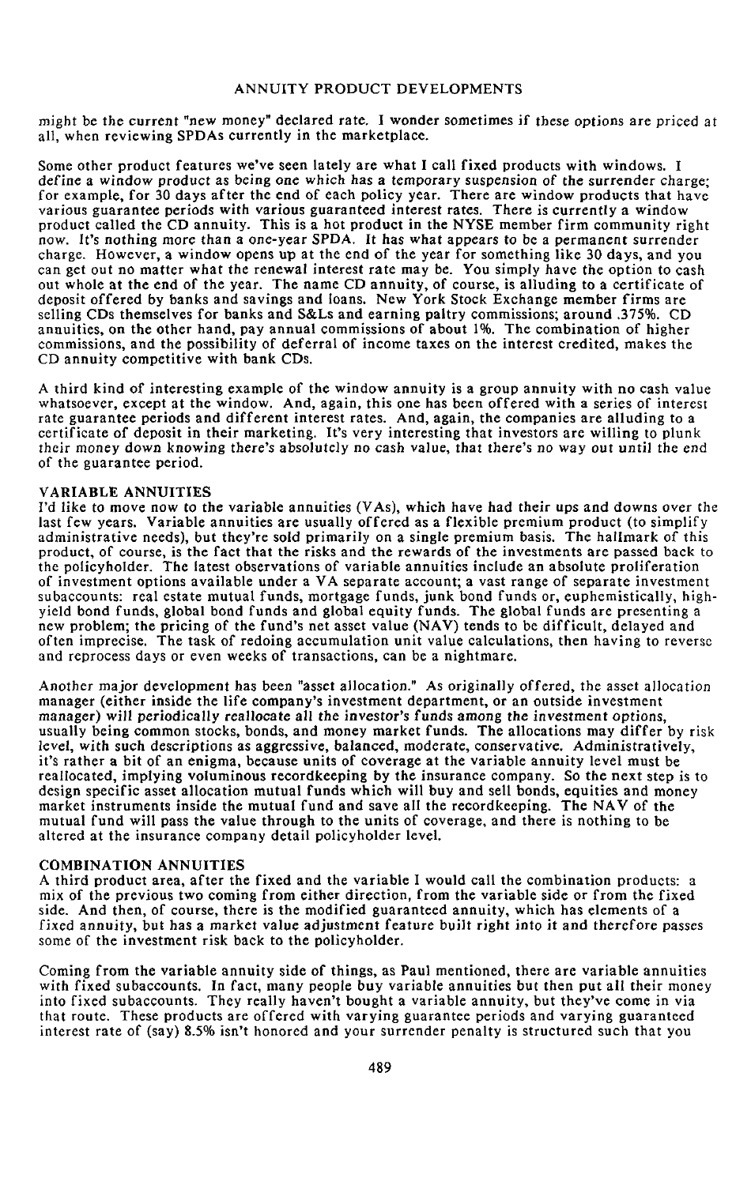migh**t** be **t**he curren**t** "new money" declared r**at**e**.** I w**o**nde**r** some**t**imes if these opti*o*ns are p**r**iced a**t** all, when reviewing SPDAs currently in the marketplace.

Some other product features we've seen lately are what I call fixed products with windows. I define a window produc**t** as being one which **h**as a temp*o*rary suspensi*o*n *o*f t*h*e surrender charge; for example, for 30 days after the end of each policy year. There are window products that have various guaran*t*ee peri**o**ds wi*t*h vari**o**us guara**n**teed interest ra*t*es. T*h*ere is currently a wind**o**w product called the CD annuity. This is a hot product in the *N*YSE member firm community right now. It's n*o***t**hing more than a **o**ne-year SPDA. It *h*as what appears **t**o be a permanent surrender charge. However, a window opens up at the end of the year for something like 30 days, and you can get out no ma**t**ter wha**t** the renewal interest rate may be. You simply have the option to cash out whole at the end of the year. The name CD annuity, of course, is allud**i**ng to a certificate of deposit offered by banks and savings and loans. New York Stock Exchange member firms are selling CDs themselves for banks and S&Ls and earning paltry commissions; around *.*375%. CD annuities, on the other hand, pay an**n**ual commissions of about 1%. The combination of higher commissions, and the possibility of deferral of income taxes on the interest credited, makes the CD annuity competitive with bank CDs.

A third kind of interesting example of the window annuity is a group annuity with no cash value whatsoever, except at the window. And, again, this one has been offered with a series of interest rate guarantee periods and different interest rates. And, again, the companies are alluding to a certificate of deposit in their marketing. It's very interesting that investors are willing to plunk **t**heir money d*o*wn knowing there's absolu**t**e**l**y no cash value, that there's n*o* way *o*u**t** u**nt**il the e*n*d of the guarantee period.

#### VARIABL**E** *A*NNUITIES

I'd like to move n*o*w **t**o the variable annui**t**ies (V*A*s), which have had **t**heir ups and d**o**wns *o*ver **t**he last few years. Variable annuities are usually offered as a flexible premium product (to simplify administrative needs**)**, but **t**hey're sold primarily on a single premium basis. *T*he hallmark of this product, of course, is the fact that the risks and the rewards of the investments are passed back to the policyholder. The latest observations of variable annuities include an absolute proliferation of investmen**t o**pti**o**ns available under a VA separate acc**o**u**n**t; a vast range of separate investment subaccounts: real estate mutual funds, mortgage funds, junk bond funds or, euphemistically**,** highyield bond funds, global bond funds and global equity funds. The global funds are presenting a new problem; the pricing of the fund's net asset value (NAV) tends to be difficult, delayed and often imprecise. The task of redoing accumulation unit value calculations, then having to reverse and re*p*rocess days **o**r even weeks **o**f transactions, can be a nightmare.

Ano**t**her major devel*o*pment has been "asset a**l**l*o*cation." *A*s originally offered, **t**he asset alloca**t**ion manager (either inside the l**i**fe company's investment department, or an outside investment manager) will periodi*c*all**y** reall*o*ca**t**e all **t**he i**n**ves**t***o*r's funds am*o*ng **t**he inves**t**men*t* options, usually being common stocks, bonds, and money market funds. The allocations may differ by risk level, with such descri*p*ti*o*ns as aggressive, balanced, moderate, c*o*nservative. Adminis**t**ratively, it's rather a bit of an enigma, because units of coverage at the variable annuity level must be realloca**t**ed, implying voluminous recordkeeping by the insurance company. So the next step is to design specific asset allocation mutual funds which will buy and sell bonds, equities and money market instruments inside the mutual fund and save all the recordkeeping. The *N*AV of the mutual fund will pass the value through to the units of coverage, and there is nothing to be altered at the insurance company detail policyholder level.

### COMBIN*A*TION *A*NNUITIES

A third product area, after the fixed and the variable I would call the combination products: a mix of the previous two coming from either direction*,* from the variable side or from the fixed side. And then, of course, there is the modified guaranteed annuity, which has elements of a fixed a**n**nui**t**y, but has a market *v*al*u*e adjustment feature buil**t** right into i**t** and therefore passes some of the investment risk back to the policyholder.

Coming from the variable annuity side of things, as Paul mentioned, there are variable annuities wi**t**h fixed s**u**baccounts. In fact, many people buy variable annuities but then put all their money into fixed subaccounts. They really haven't bought a variable annuity, but they've come in via that route. These products are offered with varying guarantee periods and varying guaranteed interest rate of (say) 8.5% isn't honored and your surrender penalty is structured such that you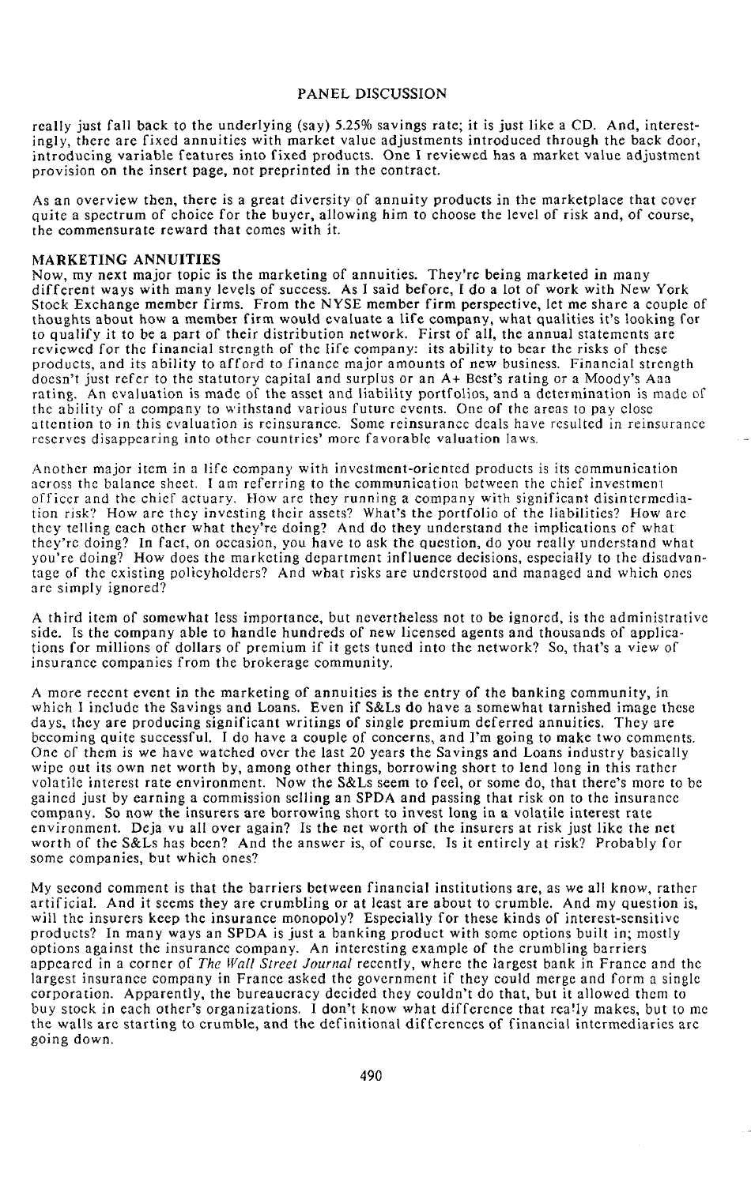really just fall back to the underlying (say) 5.25% savings rate; it is just like a CD. And, interestingly, there are fixed annuities with market value adjustments introduced through the back door, introducing variable features into fixed products. One I reviewed has a market value adjustment provision on the insert page, not preprinted in the contract.

As an overview then, there is a great diversity of annuity products in the marketplace that cover quite a spectrum of choice for the buyer, allowing him to choose the level of risk and, of course, the commensurate reward that comes with it.

#### MARKETING ANNUITIES

*N*ow, my next major topic is the marketing of annuities. They're being marketed in many different ways with many levels of s*u*ccess. As I said before, 1 do a l*o*t of work with *N*ew York Stock Exchange member firms. From the *N*YSE member firm perspective, let me share a couple of thoughts about how a member firm would evaluate a life company, what qualities it's looking for to qualify it to be a part of their distribution network. First of all, the annual statements are reviewed for the financial strength of the life company: its ability to bear the risks of these products, and its abili*t*y to afford to finance major amounts of new business. Financial strength doesn't just refer to the statutory capital and surplus or an A+ Best's rating or a Moody's Aaa rating. An evaluation is made of the asset and liability portfolios, and a determination is made of the ability of a company to withstand various future events. One of the areas to pay close attention to in this evaluation is reinsurance. Some reinsurance dcals have resulted in reinsurance reserves disappearing into other countries' morc favorable valuation Iaws.

*A*nother major item in a life company with invcstment-oricntcd products is its c*o*mmunication across the balance sheet. I am referring to the communication between the chief investment officer and the chief actuary. How are they running a company with significant disintermedialion risk? How are they investing their assets? What**'**s the portfolio of the liabilities? How arc they telling each other what they're doing? And do they understand the implications of what they're doing? In fact, on occasion, you have to ask the question, do you really understand what you're doing? How does the marketing department influence decisions, especially to the disadvantage of the existing policyholders? And what risks are understood and managed and which ones are simply ignored?

*A* third item of somewhat less importance, but nevertheless not to be ignored, is the administrative side. Is the company able to handle hundreds of new licensed agents and thousands of applications for millions of dollars of premium if it gcts tuned into the network? So, that's a view of insurance companies from the brokerage community.

*A* more recent event in the marketing of annuities is the entry of the banking community, in which I include the Savings and Loans. Even if S&Ls do have a somewhat tarnished image these days, they are producing significant writings of single premium deferred annuities. They are becoming quite successful. I do have a couple of concerns, and I'm going t*o* make two comments. One of them is we have watched ovcr the last 20 years the Savings and Loans industry basically wipe out its own net worth by, among other things, borrowing short t*o* lend long in this rathcr volatile interest rate environment. Now the S&Ls seem to feel, or some do, that there's more to be gained just by earning a commission selling an SPDA and passing that risk on to the insurance company. So now the insurers are borrowing short to invest long in a volatile interest rate environment. Deja vu all over again? Is the net worth of the insurers at risk just like the net worth of the S&Ls has been? And the answer is, of course. Is it entirely at risk? Probably for some companies, but which ones?

My second comment is that the barriers between financial institutions are, as we all know, rather artificial. And it seems they are crumbling or at least are about to crumble. And my question is, will the insurers keep the insurance monopoly? Especially for these kinds of interest-sensitive products? In many ways an SPDA is just a banking product with some options built in; mostly options against the insuranec company. An interesting example of the crumbling barriers appeared in a corner of *The Wall Street Journal* recently, where the largest bank in France and the largest insurance company in France asked the government if they co*u*ld merge and f*o*rm a single corporation. Apparently, the bureaucracy decided they couldn't do that, but it allowed them to buy stock in each other's organizations. I don't know what difference that rea!lymakes, buttome the walls are starting to crumble, and the definitional differences of financial intermediaries are going down.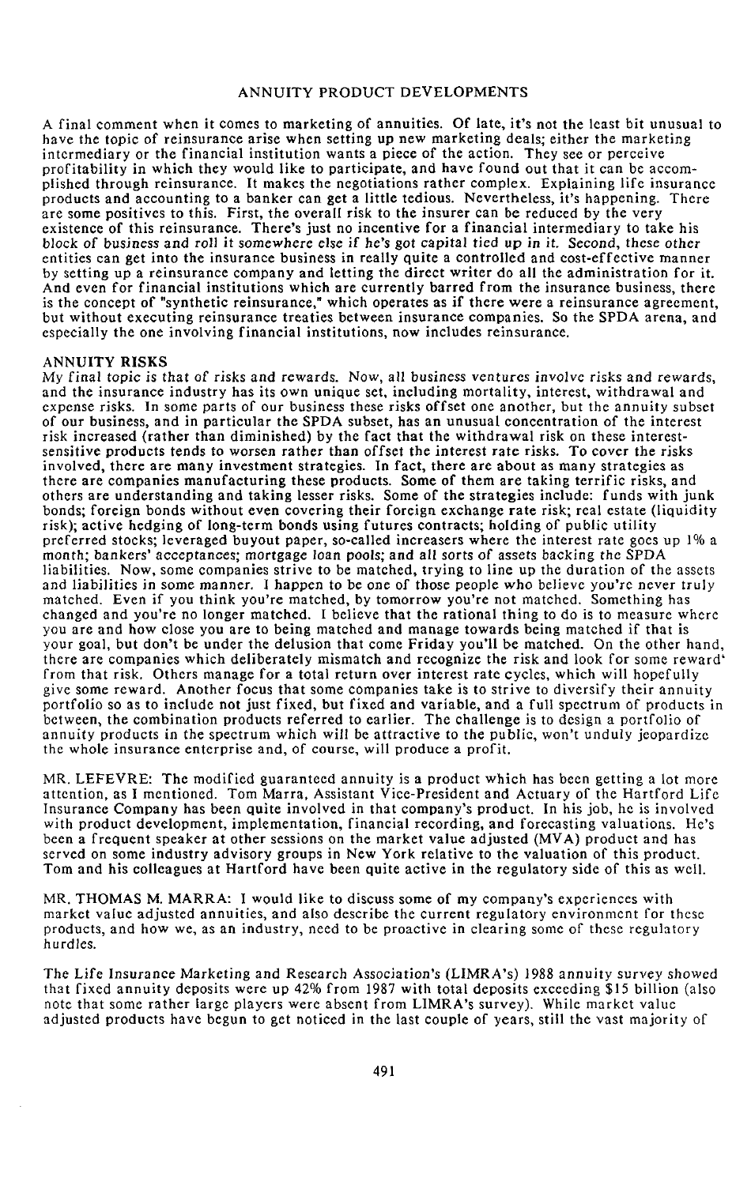A final comment when it comes to marketing of annuities. Of late, it's not the least bit unusual to have the topic of reinsurance arise when setting up new marketing deals; either the marketing intermediary or the financial institution wants a piece of the action. They see or perceive pr**o**fitability in which they would like to participate, and have found out that it can be accomplished through reinsurance. It makes the negotiations rather complex. Explaining life insurance **p**roducts and accounting to a banker can get a little tedious. *N*evertheless, it's hap**p**ening. There are some positives to this. First, the overall risk to the insurer can be reduced by the very existence of this reinsurance. There's just no incentive for a **f**inancial intermediary to take his bl*o*ck *o*f business and r*o*ll it s*o*mewhere el*s*e if he's g*o*t capital tied up i**n** i*t*. Sec*o*nd, these *o*t*h*er entities can get into the insurance business in really **q**uite a controlled and cost-effective manner by setting up a reinsurance company and letting the direct writer do all the administration for it. And even for financial institutions which are **c**urrently barred from the insurance business, there is the concept of "synthetic reinsurance," which operates as if there were a reinsurance agreement, bu**t** with**o**ut execu**t**ing reinsurance treaties be**t**ween insurance companies. S**o t**he SPDA arena, and es**p**ecially the one involving financial institutions, now includes reinsurance.

## ANNUITY RISKS

My final *t*opi*c* is that of risks and rewards. N*o*w, all b*u*siness vent*u*res inv*o*l*v*e risks and re*w*ards, and the insurance industry has its own unique set, including mortality, interest, withdrawal and expense risks. In some parts of our business these risks offset one another, but the annuity subset of our business, and in particular the SPDA subset, has an unusual concentration of the interest risk increased (rather than diminished) by the fact that the withdrawal risk on these interestsensitive products tends to w*o*rsen rather than **o**ffse*t* the interes**t** r**a**te risks. To cover the risks involved, there are many investment strateg**i**es. In fact, there are about as many strategies as there are com**p**anies manufacturing these products. Some of them are taking terrific risks, and others are understanding and taking lesser risks. Some of the strategies include: funds with junk bonds; foreign bonds without even covering their foreign exchange rate risk; real estate (liquidity risk); active hedging of long-term bonds using futures contracts; holding of **p**ublic utility preferred stocks; leveraged buyout **p**a**p**er, so-called increasers where the interest rate goes up 1% a month; ba*n*kers' acceptances; m*o*rtgage l*o*an *p*ools; and all sorts of assets backing the SPDA liabilities. Now, some companies strive to be matched, trying to line up the duration of the assets and liabilities in some manner. 1 happen to be one of those peo*p*le *w*ho believe you're never truly matched. Even if you think you're matched, by tomorrow you're not matched. Something has changed and you're no longer matched. I believe that the rational thing to do is to measure where you are and how close you are to being matched and manage towards being matched if that is your goal, but don't be under the delusion that come Friday you'll be matched. On the other hand, there are com**p**anies which deliberately mismatch and recognize the risk and look for some reward' fro**m** that risk. Others manage for a total return over interest rate cycles, which will hopefully give some reward. Another focus that some com**p**anies take is to strive to diversify their annuity portfolio so as to include not just fixed, but fixed and variable, and a full s**p**ectrum of products in between, the combination products referred to earlier. The challenge is to design a portfolio of annuity products in the s**p**ectrum which will be attractive to the public, won't unduly jeopardize the whole insurance enter**p**rise and, of course, will produce a **p**rofit.

MR. LEFEV**R**E: The modified guaranteed annuity isa product which has been gettinga lot more attention, as I mentioned. Tom Marra, Assistant Vice-Pres**i**dent and Actuary of the H**a**rtford Life Insurance *C*ompany has been **q**uite involved in that company's product. In his job, he is involved with **p**roduct development, implementation, financial recording, and forecasting valuations. He's been a frequent speaker at other sessions on the market value adjusted (M*V*A) **p**roduct and has served on some industry advisory groups in *N*ew York relative to the valuation of this product. Tom and his colleagues at Hartford have been quite active in the regulatory side of this as well.

MR. THOMAS M**.** MARRA: I would like to discuss some of my company's experiences with market value adjusted annuities, and also describe the current regulatory environment for these products, and how we, as an industry, need to be proactive in clearing some of these regulat**o**ry h*u*rdles.

*T*he Life Insura*n*ce Marketi*n*g and Research *A*ssociatio*n*'s (LIMR*A*'s) 1988 **an**nuity survey showed that fixed annuity deposits were up 42% from 1987 with total de**p**osits exceeding \$15 billion (also note that some rather large players were absent from LIMRA's survey). While m**a**rket value adjusted products have begun to get noticed in the last couple of years, still the vast majority of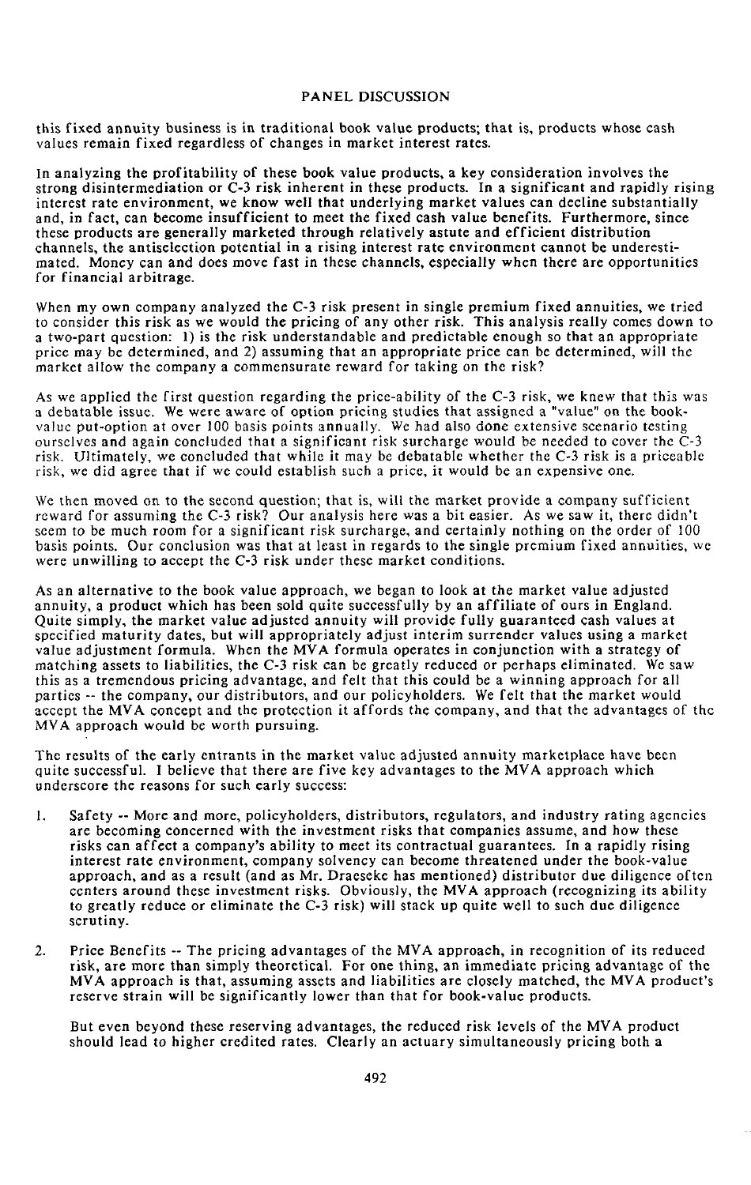this fixed annuity business is in traditional book value products; that is, products whose cash valu**e**s **re**main fix**e**d r**e**gardl**e**ss of chang**e**s in ma**r**k**et** in**te**r**e**s**t r**a**te**s**.**

In analyzing the profitability of these book value products, a key consideration involves the strong disintermediation or C-3 risk inherent in these products. In a significant and rapidly rising interest rate environment, we know well that underlying market values can decline substantially and, in fact, can become insufficient to meet the fixed cash value benefits. Furthermore, since these products are generally marketed through relatively astute and efficient distribution channels, the antiselection potential in a rising interest rate environment cannot be underestimated. Money can and does move fast in these channels, especially when there are opportunities fo**r** finan**c**ia**l** arbi**tr**ag**e**.

When my own company analyzed the C-3 risk present in single premium fixed annuities, we tried to consid**er t**his risk as w**e** wou**l**d the pricing of an**y** o**t**h**er** risk. **T**his ana**ly**sis **re**a**l**l**y** com**e**s down **t**o a **t**wo-par**t** qu**e**s**t**ion: 1) is **t**h**e** risk und**e**rs**t**andabl**e** and p**re**dic**t**abl**e e**nough so **t**ha**t** an appropria**te** pric**e** ma**y** b**c** d**eter**min**e**d, and 2) assuming **t**ha**t** an app**r**opria**te** price can b**c** det**e**rmin**e**d**,** wi**ll t**h**e** marke**t** allow **t**h**e** compan**y** a comm**e**nsu**r**a**t**e r**c**wa**r**d for **t**aking on **t**he **r**isk?

As we applied the first question regarding the price-ability of the C-3 risk, we knew that this wai a d**e**batable issue**.** W**e** w**e**r**e** aware of o**p**tion pri**c**ing studi**e**s that assigned a "va**l**ue" on the bookvalue put-option at over 100 basis p*o*ints annually. We had also d*o*ne extensive scenario testing *o*urselves and again concluded tha**t** a significant risk surcharge would be needed t*o* cover the C-3 risk. Ultimatel**y**, we concluded that while it may be debatable whether the C-3 risk isa priceable risk, we did agree that if we could establish such a price, it would be an expensive one.

We then moved **o**n to **t**he second ques**t**ion; **t**hat is, will the market provide a company sufficient reward for assuming the C-3 risk? Our analysis here was a bit easier. As we saw it, there didn't seem t*o* be much r*o*om for a significant risk surcharge**,** and certainly nothing on the order of 100 basis points. Our conclusion was that a**t** least in regards **t**o **t**he single premium fixed annuities, we were unwilling to accept the C-3 risk under these market conditions.

As an alternative to the book value a**pp**roach, we began to look at the market value adjusted annuity, a product which has been sold quite successfully by an affiliate of ours in England. Quite simpl**y**, the market value adjusted annuity will provide fully guaranteed cash values at specified maturity dates, but will appro**p**riately adjust interim surrender values using a market value adjustment formula. When the MVA formula operates in conjunction with a strategy of matching assets to liabilities*,* the C-3 risk can be greatly reduced *o*r perhaps eliminated. We saw this as a tremendous pricing advantage, and felt that this could be a winning approach for all parties **-**- the com**p**any, our distributors, and our policyholders. We felt that the market would accept the MVA concept and the protection it affords the c*o*mpany, and that the advantages of the MVA approach would b*e* worth pursuing.

The results of the early ent**r**ants in **t**he market value adjusted annuity marke**t**place have been quite successful. **I** believe that there are five key advantages to the MVA approach which underscore the reasons for such early success:

- 1. Safety -- More and more, policyholders, distributors, regulators, and industry **r**ating agencies are bec*o*ming concerned with the investment risks that companies assume, and how these risks can affect a company's ability **t**o meet its con**t**rac**t**ual guarantees. In a rapidly rising interest rate environment, company solvenc**y** can become threatened under the book-value approach*,* and as a result (and as Mr. Draeseke has mentioned) distributor due diligence often centers around these investment risks. Obviously, the MVA approach (recognizing its ability to greatly **r**educe or eliminate the C-3 risk) will stack up quite well to such due diligence scrutiny.
- 2. Price Benefits -- The pricing advantages of the MVA approach, in recognition of its reduced **r**isk*,* are more **t**han simply theo**r**etical. **F**o**r** one **t**hing, an immediate pricing advantage of **t**he MV*A* a*p*proa*c*h is that, assuming assets and liabilities are closely matched, the MVA product*'*s reserve strain will be significantly lower than that for book-value products.

But even beyond these reserving advantages, the reduced risk levels of the MVA product should lead to higher credited rates. Clearly an actuary simultaneously pricing both a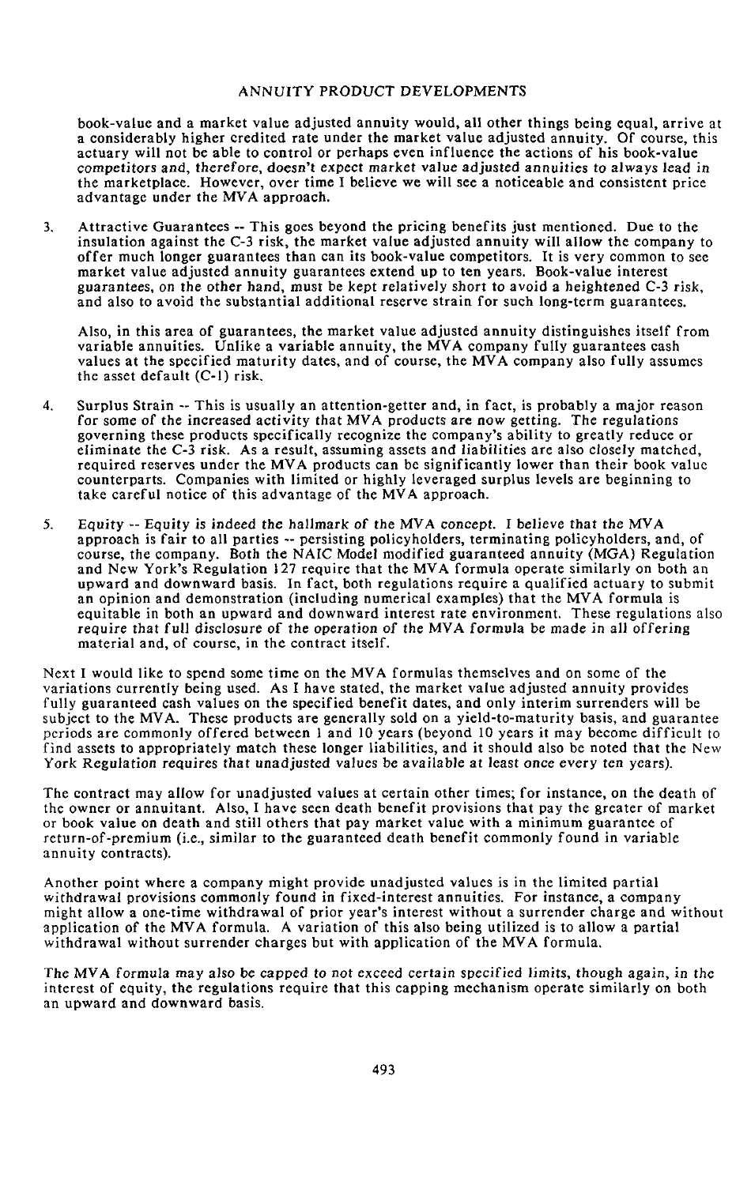bo**ok-**va**l**ue and a market **v**a**l**ue adjusted annuity wou**l**d, a**ll ot**he**r t**hin**g**s be**i**n**g** equa**l**, a**rr**ive at a considerably higher credited rate under the market value adjusted annuity. Of course, this ac**t**ua**r**y **will** n**o**t be ab**l**e t**o** c**o**nt**r**o**l or** pe**r**haps e**v**en influe**n**ce **t**he ac**tio**ns **o**f his **boo**k**-v**a**l**ue com**p**e**ti**t*o***r**s and, t**h**e**r**e**f**ore, d*o*esn't expect *m*ar**k**et **v**a**l**ue adju**s**ted annuit**i**es **t**o a**lw**ays **l**ead in the mar**k**e**t**place. H**o**we**v**e**r,** o**v**e**r ti**me I bel**i**e**v**e we **w**i**ll** see a noticea**b**le and con**s**isten**t** p**r**ice advan*t***a**ge under **t**he M*V*A approach**.**

3. Attractive Guarantees -- This goes beyond the pricing benefits just mentioned. Due to the insulation against the C-3 risk, the market value adjusted annuity will allow the company to **o**ffer much longer guarantees than can its bo**o**k-value competitors. It is very comm**o**n to see market value adjusted annuity guarantees extend up to ten years. B**o**ok-value interest **g***u*arantees, on the other hand, must be kept relatively short to avoid a heighte**n**ed C-3 risk, and also to avoid t**h**e substantial additional reserve strain for such long-term guarantees.

Also, in this area of guarantees, the market value adjusted annuity distinguishes itself from variable annuities. *U*nlike a variable annuity, the M*V*A company fully guarantees cash values at the specified maturity dates, and of course, the MVA company also fully assumes the asset default (C-l) risk*.*

- 4. Surplus Strain -- This is usually an attention-getter and, in fact, is probably a major reason for some of the increased ac*t*ivity that M*V*A pr*o*ducts are **n**ow getting. The reg*u*lations governing these products specifically recognize the company's ability to greatly reduce or eliminate the *C*-3 risk. As a result, assuming assets and liabilities are also closely matc*h*ed, required reserves under the MVA products can be s**i**gnificantly lower than their book value counterparts. Companies with limited or highly leveraged surplus levels are beginning to take careful notice of this advantage of the MVA approach.
- 5. Eq*u*i*t*y -- Equity is indeed t*h*e hallmark *o*f the MV*A* con*c*ep*t*. I believe tha*t* the MV*A* approach is fair to all parties **-**- persisting policyholders, terminating policyholders, and, of course, the company. Both the NAI*C* Model modified guaranteed annuity (MGA) Regulation and *N*ew York's Regulation 127 require that the MVA formula operate similarly on both an upward and downward basis. In fact, both regulations require a qualified actuary to submit an opinion and demonstration (includin**g** numerical examples) that the MVA formula is equitable in both an upward and downward **i**nterest rate environment. These regulations also require that full d**i**scl*o*sure *o*f the *o*peratio**n** *o*f the MV*A* for*m*ula be made in all offeri**n**g material and, of course, in the c**o**ntract itself.

*N*ext I would like to spend some time on the MVA formulas themselves and on some of the variations currently being used. As I have stated, the market value adjusted annuity provides fully guaranteed cash values on the specified benefit dates, and only interim surrenders will be subject to the MVA. These products are generally sold on a yield-to-maturity basis, and guarantee periods are commonly offered between I and 10 years (beyond 10 years it may become difficult to find assets to appropriately match these longer liabilities, and it should also be noted that the New York Regulati*o*n requires that unadjusted values be available at least *o*nce every ten years).

*T*he contract may allow for unadjusted values at certain other times; for instance, on the death of the owner or annuitant. Also, I have seen death benefit provisions that pay the greater of market or book value on death and still others that pay market value with a minimum guarantee of return-of-premium (i.e**.**, similar to the guaranteed death benefit commonly found in variable annuity contracts).

Another point where a company might provide unadjusted values is in the limited partial withdrawal provisions commonly found in fixed-interest annuities. For instance, a company might allow a one-time withdrawal of prior year's interest without a surrender charge and without application of the MVA formula. A variation of this also being utilized is to allow a partial withdrawal without surrender charges but with application of the MVA formula.

The MV*A* f*o*rmula may als*o* be capped t*o* n*ot* exceed *c*ertai**n** specified limits, though agai**n**, in the interest of equity, the regulations require that this capping mechanism operate similarly on both an upward and downward basis.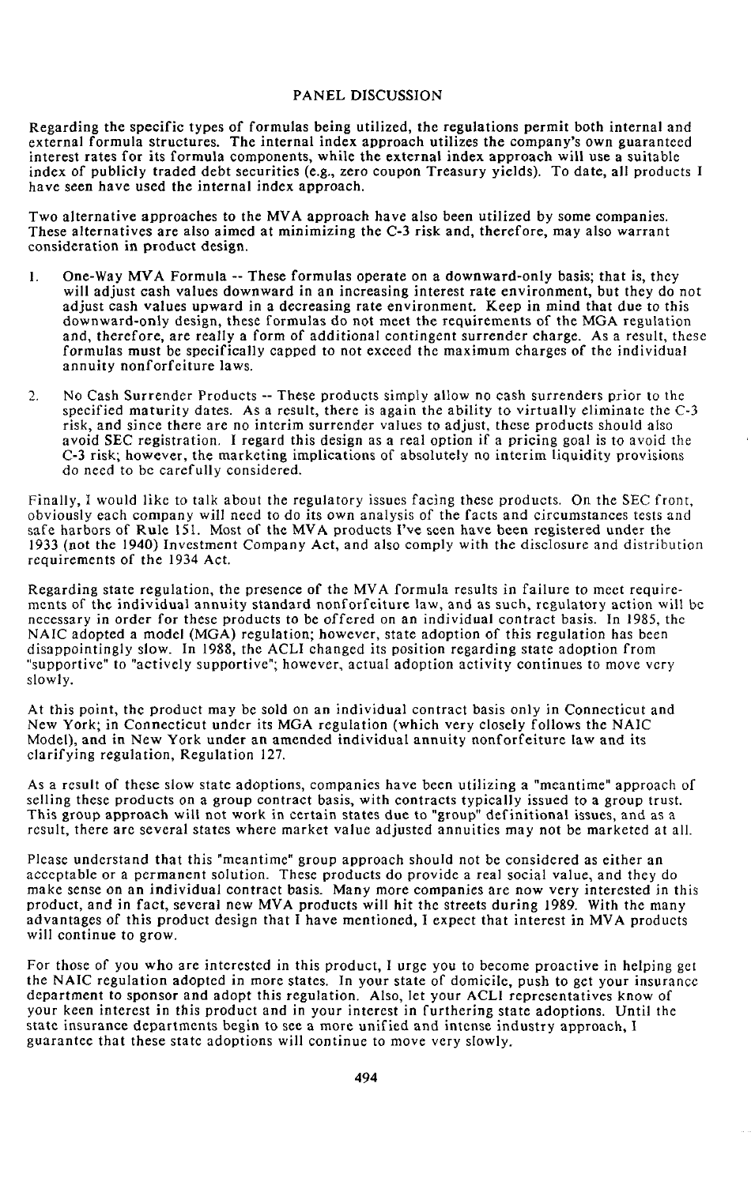Regarding th**e** specific **ty**pes of fo**r**mu**la**s being u**t**ilized, **t**he **r**egu**l**a**t**ions permit bo**t**h in**t**ernal and external formula s**t**ruc**tu**res**.** The in**t**ernal index approach u**t**ilizes **t**he company's own guaran**t**eed in**t**eres**t r**a**t**es for i**ts** fo**r**mula c**o**m**p**onen**t**s, while **t**he ex**t**e**r**nal index app**r**oach wi**ll** use a sui**t**able index of publicl**y tr**aded deb**t** secu**r**ities (e**.**g., ze**r**o coupon T**r**ea**s**u**ry y**i**e**ld**s**)**.** To da**t**e, all p**r**oducts **I** have s*e*en have used **t**he in**t**e**r**nal index approach**.**

Two alterna**t**ive app**r**oaches **t**o **t**h**e** MVA approach hav*e* also b**ee**n u**t**ilized b**y** some companies. These al**t**e**r**na**t**ives a**r**e also aimed a**t** minimizing **t**he C-**3 r**isk and, **t**herefo**r**e, ma**y** also warran**t** considera**t**ion in p**r**oduc**t** design.

- 1. One-Wa**y** M*V*A **F**o**r**mula -- These fo**r**mulas ope**r**a**t**e on a downward-on**ly** basis; tha**t** is, **t**he**y** will adjus**t** cash values downward in an increasing in**t**eres**t r**a**te** environmen**t**, bu**t t**he**y** do not adjust cash values upward in a dec**r**easing ra**t**e environmen**t.** Keep in mind **t**hat due to **t**his downward**-**on**ly** design*,* **t**hese formulas do no**t** mee**t** the requi**r**emen**t**s of the MGA r**e**gulation and, therefore, are reall**y** a form of additional contingent surrender charge. As a result, these f*o*rmulas must be specifically capped to not exceed **t**he maximum charges of the individual annuity nonforfeiture laws.
- 2. No Cash Surrender Products -- These products simply allow no cash surrenders prior to **t**he specified maturity dates. As a result, there is again the abi**l**ity to virtually e**l**iminate the C-3 risk, and since there are no interim surrender values t*o* adjust, these products should also avoid SEC registration. I regard this design as a real option if a pricing goal is **t***o* avoid **t**he C-3 risk; however, the marketing implications of absolutely no interim liquidity provisions do need to be carefully c*o*nsidered.

Finally, I w*o*uld like t*o* talk abou**t** the regulatory issues facing these pr*o*ducts. On the SEC front, obviously each company will need to do its own anal**y**sis of the facts and circumstances tests and safe harbors of Rule 151. Most of the MVA products l've seen have been registered under the 1933 (not the 19**4**0) Investment Company Act, and also comply with the disc**I**osure and dis**t**ribution requir*e*ments of the 193**4** Act.

Regarding state regulation, the presence of the MVA formula results in failure to meet requirements of the individual annui**ty s**tandard nonfo**r**feiture law, and as such, regu**l**ato**r**y ac**t**ion will be necessary in order for these products to be offered on an individual contract basis. In 1985, the NAIC adopted a model (MGA) regula**t**ion; however, state adoption of this regulation has been disappointingly slow. In 1988, the ACLI changed its position regarding sta**t**e adoption fr*o*m "suppor**t**ive" **t**o "actively supportive"; however**,** actual adoption activit**y** continues to move very slowly.

At this point, the product may be sold on an individual con**t**ract basis only in Connecticut and New York; in Connecticut under its MGA regulation (which very closely follows **t**he NAIC Model), and in New York under an amended individual annuity nonforfeiture law and its clarifying r*e*gulation, Regulation 1*2*7.

As a result *o*f these slow state ad*o*ptions, companies have been utilizing a "meantime" approach of selling these products on a group contract basis, with con**t**racts typically issued to a gr*o*up trust. This group approach will not work in certain states due to "group" definitional issues, and as a result, there are several states where market value adjusted annuities may not be marketed at all.

Please understand that this *"*meantime" group approach should not be considered as either an acceptable or a permanent solution. These products do provide a real social value, and they do make sense *o*n an individual contract *b*asis. Many more compani*e*s are now very interested in this product, and in fac**t**, **s**everal new MVA products will hit **t**he streets during 1989. With the many advantages of this product design that I have mentioned, I expect that interest in MVA produc**t**s will con**t**inue **t***o* grow.

For th*o*se *o*f you who are in**t**eres**t**ed in this pr*o*duc**t**, I urge **y**ou to become proactive in helping get **t**he NAIC regulation adopted in more states. In your state of domicile, push to g*e*t your insurance departmen**t** to sponsor and adop**t t**his regulation. *A*lso, let your *A*CLI representatives know of y*O*ur keen interest in this product and in your interest in fur**t**hering state adoptions. Until **t**he sta**t**e insurance depar**t**men**t**s begin **t**o see a more unified and in**t**ense industry approach, I guarantee that these state adoptions will continue to move very slowly.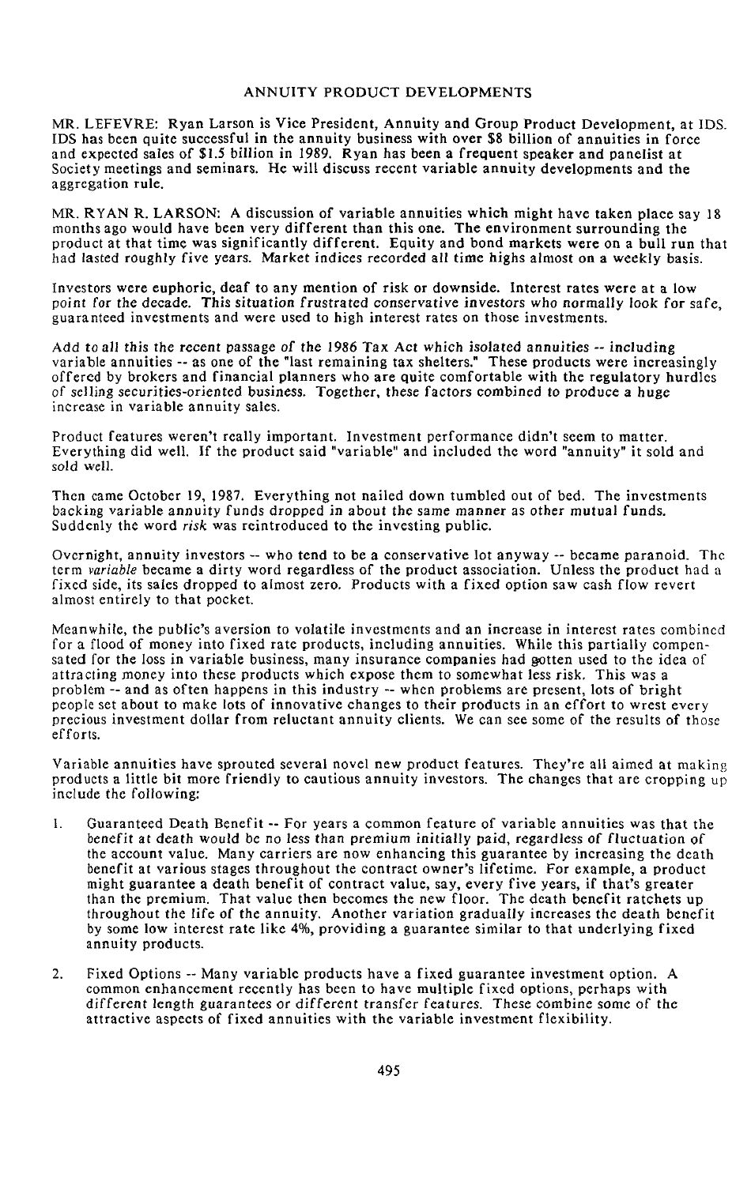M*R*. LEFEV*R*E: Ryan **L**arson is Vice **P**resident, Annuit**y** and Group Produ**c**t **D**eve**l**opment, **a**t IDS**.** IDS has been quit**e** su**cc**ess**f**ul in the ann**u**ity business with over **\$**8 billion of annuities in **f**orce and expe**ct**ed sales of **\$**1.5 bil**l**ion in 19**8**9. **R**yan h**a**s been **a** frequent spe**a**ker **a**nd panelis**t** at So**c**i**e**ty **m**eetings and seminars. H**e** wi**l**l discuss re**c**ent variable **a**nnuity developments and the aggreg**a**tio**n** rule.

MR. RYAN R. LARSON: A dis**c**ussion o**f** vari**a**ble **a**nnuities whic**h** mi**g**ht **h**ave t**a**ken pl**a**ce sa**y** 1**8** months ago would **h**ave been ver**y** d**iff**erent t**h**an this one. T**h**e environment surroundin**g th**e pr*o*duct at that tim**e** was signi**f**i**ca**ntl**y** di**ff**erent. Equity and bond mark**e**ts were on **a** bull run that h**a**d *l*asted roughly five ye**a**rs. M**a**rket i**n**di**c**es recorded all time highs **a***l*most on a w**e**ekl**y** basis.

I**n**vestors were euphoric, dea**f** to any mention o**f** risk or downside. Inter**e**st rates were at a low point f*o*r the dec**a**de. This situat**i***o*n frustrated conservative i**n**vest**o**rs wh*o* n*o*rmally l*o*ok for safe, guaranteed investments and were used to high interest rates on those investments.

*A*dd t**o** all this t*h*e recent passage *o*f the 1986 Tax *A*ct *wh*ich is*o*lated annuities -- includi**n**g variable annuities -- as one of the "last remaining tax shelters." These products were increasingly offered by brokers and financial pla**n**ners who are quite comfortable with the regulatory hurdles of selling securities-orie**n**ted busi**n**ess. T*o*gether, these factors combi**n**ed t*o* pr*o*duce a huge increase in variable annuity sales.

Product features weren't really important. Investment performance didn't seem to matter**.** Everything did well. If the product said "variable" and included the word "annuity" it sold and s*o*ld **w**ell.

Then came October 19, 1987. Everything not nailed down tumbled out of bed. The investments backing variable an**n**uity fu**n**ds dropped in ab*o*ut the same manner as *o*ther mutual fu**n**ds. Suddenly the word *risk* was reintroduced to the investing public.

Overnight, annuity investors -- who tend to be a conservative lot anyway -- became paranoid. The term *variable* became a dirty word regardless of the product association. Unless the product had a fixed side, its sales dropped **t**o almost zero. Products with a fixed option saw cash flow revert almost entirely to that pocket.

Meanwhile, the public's aversion to vola**t**ile investments and an increase in interest ra**t**es combined for a flood of money in**t**o fixed rate products, including annuities. While this partially compensated for the loss in variable business, many insurance com**p**anies had *g***o**tten used to the idea of attractin*g* money into these products which expose them to s*o*mewhat less risk*.* This w**a**s a problem -- and as often happens in this industry -- when problems are present, lots of bright people set ab**o**ut t**o** make lots of innovative changes to their products in an eff**o**rt to wrest every preci**o**us investment dollar from reluctant annuity clients. We can see some of the results of those efforts.

Vari**a**ble annuities have sprouted several novel new product **f**eatures. They're all aimed at makin*g* products a little bit more friendly to cautious annuity investors. The changes that are cropping up include the following:

- I. Guaranteed Death Benefit -- For years a common feature of variable annuities was that the ben**e**fit at death would be no less tha**n** *p*remium i**n**itially **p**aid, regardless *o*f fluctua*t*ion of the account value. Many carriers are now enhancing this guarantee by increasing the death benefit at various s*t*ages **t**hr**o**ughou**t** the contract owner's lifetime**.** F**o**r examp**l**e, a product might guaran**t**ee a death benefit of contract value, say, every five years, if that's greater than the premium. That value then becomes the new floor. The death benefit ratchets up throughout the life of the annuity. Another variation gradually increases the death benefit by some low interest rate like 4%, providing a guarantee similar to that underlying fixed annuity products.
- 2. Fixed Options -- Many variable products have a fixed guarantee investment option. A common enhancement recently has been to have multiple fixed options, perhaps with differen*t* length guarantees or different transfer features. These c**o**mbine s*o*me of the attractive aspects of fixed annuities with the variable investment flexibility.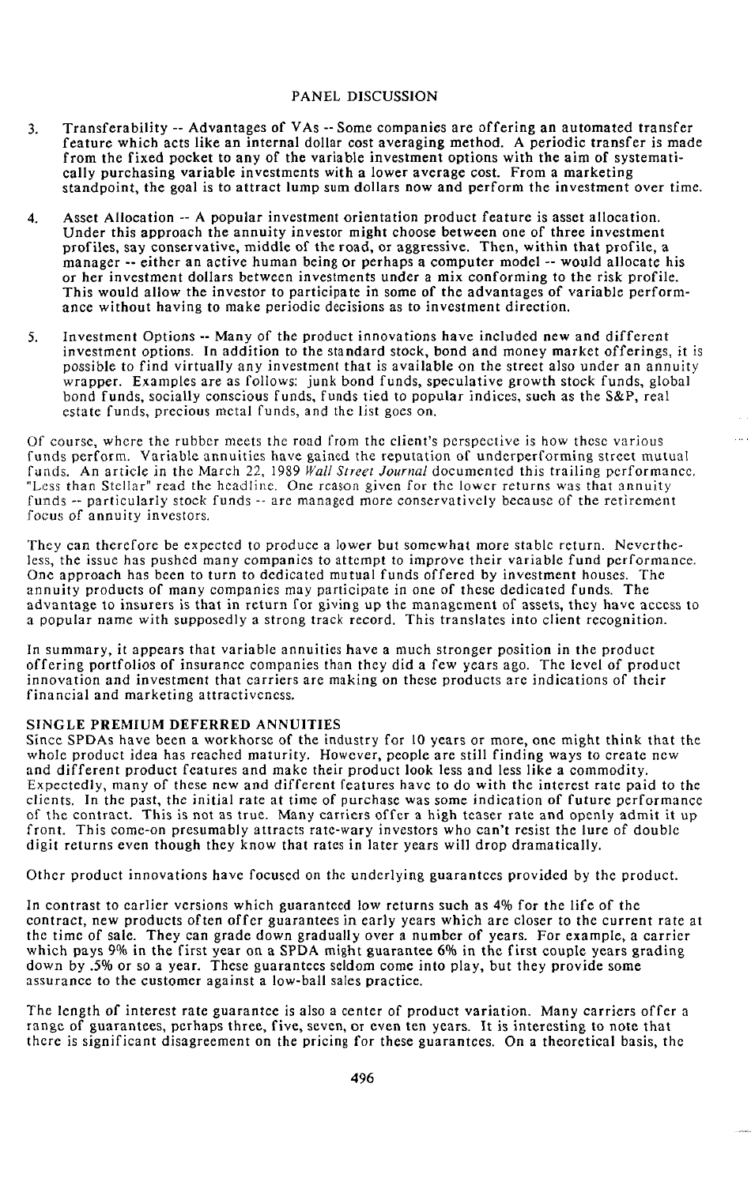- 3. Transferabi**l**ity -- A**dv**antages **o**f VAs -- S**o**me c**o**mpanies are **o**ffering an aut**o**mated t**r**ansfer fea**tu**re which acts lik**e** an int**e**rnal **do**llar c**o**st a**v**eraging m**et**h**od**. A pe**r**i**o**dic t**r**ansfer is ma**d**e from the fixe**d** pocket to any of the variable investment opti**o**ns with the aim of systematically purchasing variable investments with a lower average cost. From a marketing standpoint, the goal is to attract lump sum dollars now and perform the inves**t**ment over time.
- 4. Asset Allocation -- A popular investment **o**rientati**o**n product feature is asset allocation. Under this ap**p**roach the annuity investor might choose between one of three investment profiles, say conservative, middle of the road, or aggressive. Then, within that profile, a manager -- either an active human being or perhaps a computer model -- would allocate his or her investment dollars between investments under a mix conforming to the risk profile. This would allow the investor to participate in some of the advantages of variable performance without having to make periodic decisions as to inve*s*tment direction.
- 5. Investment Options -- Many of the product innovations have included new and different investment options. In addition to the standard stock, bond and money market offerings, it is possible to find virtually any investment that is available on the street also under an annuity wrapper. Examples are as follows: junk bond funds, speculative growth stock funds, global b**o**nd funds, socially conscious funds, funds tied t*o* popular indices, such as the S&P, real estate funds, precious metal funds, and the list goes on.

Of course*,* where the rubber meets the r**o**ad fr*o*m the client's perspective is how these various funds perform. Variable annuities have gained the reputation of underperforming street mutual fu**a**ds. An article in the March 22, 1989 *Wall Street Journal* documented this trailing performance, "Less than Stellar" read the headline. One reason given for the lower returns was that annuity funds -- particularly stock funds -- are managed more conservatively because of the retirement focus *o*f annuity investors.

They can therefore be expected to producea l*o*wer but somewhat more stable return. Nevertheless, the issue has pushed many c*o*mpanies to attempt to improve their variable fund performance. One approa*c*h has been to turn to dedicated mutual funds offered by investment houses. The annuity products of many companies may participate in one of these dedicated funds. The advantage to insurers is that in return for giving up the management of assets, they have access t*o* a popular name with supposedly a strong track record. This translates into client recognition.

In summary, it appears that variable annuities have a much stronger position in the pr*o*duct offering portfoli*o*s of insurance companies than they dida few years ago. The level of product innovation and investment that carriers are making on these products arc indications of their financial and marketing attractiveness.

## S**I**N**GLE** P**REM**IU**M DE**F**ERRED** A**NN**UI**T**IES

Since SPDAs have been a workhorse of the industry for 10 years *o*r more, one might think that the whole product idea has reached maturity. However*,* people are still finding ways to create new and different product features an**d** make their product l**o**ok less and less llke a commodity. Expectedly, many of these new and different features have to do with the interest rate paid to the clients. In the past, the initial rate at time of purchase was some in**d**ication of future performance of the c**o**ntract. **T**his is not as true. Many carriers offer a high teaser rate and openly admit it up front. This come-on presumably attracts rate-wary investors who can't resist the lure of double digit returns even though they know that rates in later years will drop dramatically.

Other product innovations have focused on the underlying guarantees provided by the product.

In contrast to earlier versions which guaranteed low returns such as 4% for the life of the c*o*ntract, new products often *o*ffer guarantees in early years which are closer to the current rate at the time of sale. They can grade down gradually over a number of years. For example, a carrier which pays 9% in the first year on a SPDA might guarantee 6% in the first couple years grading down by .5% or s*o* a year. These guarantees seldom come into play, but they provide some assurance to the customer against a low-ball sales **p**ractice.

The length *o*f interest rate guarantee is also a center of product variation. Many carriers offer a range of guarantees, perhaps three, five, seven, or even ten years. It is interesting to note that there is significant disagreement on the pricing for these guarantees. Ona theoretical basis, the